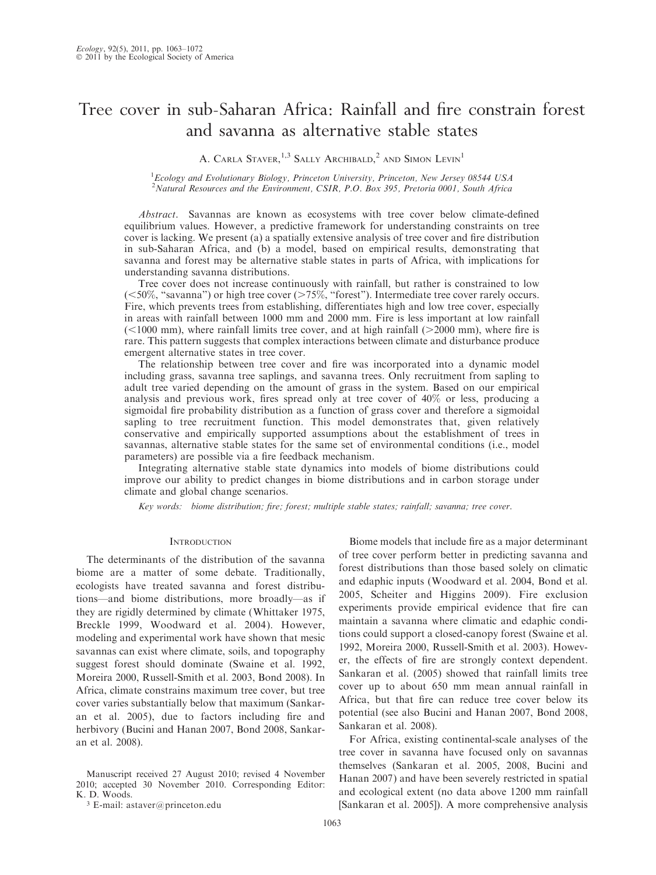# Tree cover in sub-Saharan Africa: Rainfall and fire constrain forest and savanna as alternative stable states

A. CARLA STAVER, <sup>1,3</sup> SALLY ARCHIBALD, <sup>2</sup> AND SIMON LEVIN<sup>1</sup>

<sup>1</sup>Ecology and Evolutionary Biology, Princeton University, Princeton, New Jersey 08544 USA <sup>2</sup>Natural Resources and the Environment, CSIR, P.O. Box 395, Pretoria 0001, South Africa

Abstract. Savannas are known as ecosystems with tree cover below climate-defined equilibrium values. However, a predictive framework for understanding constraints on tree cover is lacking. We present (a) a spatially extensive analysis of tree cover and fire distribution in sub-Saharan Africa, and (b) a model, based on empirical results, demonstrating that savanna and forest may be alternative stable states in parts of Africa, with implications for understanding savanna distributions.

Tree cover does not increase continuously with rainfall, but rather is constrained to low ( $<$ 50%, "savanna") or high tree cover ( $>$ 75%, "forest"). Intermediate tree cover rarely occurs. Fire, which prevents trees from establishing, differentiates high and low tree cover, especially in areas with rainfall between 1000 mm and 2000 mm. Fire is less important at low rainfall  $\approx$  1000 mm), where rainfall limits tree cover, and at high rainfall ( $>$ 2000 mm), where fire is rare. This pattern suggests that complex interactions between climate and disturbance produce emergent alternative states in tree cover.

The relationship between tree cover and fire was incorporated into a dynamic model including grass, savanna tree saplings, and savanna trees. Only recruitment from sapling to adult tree varied depending on the amount of grass in the system. Based on our empirical analysis and previous work, fires spread only at tree cover of 40% or less, producing a sigmoidal fire probability distribution as a function of grass cover and therefore a sigmoidal sapling to tree recruitment function. This model demonstrates that, given relatively conservative and empirically supported assumptions about the establishment of trees in savannas, alternative stable states for the same set of environmental conditions (i.e., model parameters) are possible via a fire feedback mechanism.

Integrating alternative stable state dynamics into models of biome distributions could improve our ability to predict changes in biome distributions and in carbon storage under climate and global change scenarios.

Key words: biome distribution; fire; forest; multiple stable states; rainfall; savanna; tree cover.

#### **INTRODUCTION**

The determinants of the distribution of the savanna biome are a matter of some debate. Traditionally, ecologists have treated savanna and forest distributions—and biome distributions, more broadly—as if they are rigidly determined by climate (Whittaker 1975, Breckle 1999, Woodward et al. 2004). However, modeling and experimental work have shown that mesic savannas can exist where climate, soils, and topography suggest forest should dominate (Swaine et al. 1992, Moreira 2000, Russell-Smith et al. 2003, Bond 2008). In Africa, climate constrains maximum tree cover, but tree cover varies substantially below that maximum (Sankaran et al. 2005), due to factors including fire and herbivory (Bucini and Hanan 2007, Bond 2008, Sankaran et al. 2008).

Biome models that include fire as a major determinant of tree cover perform better in predicting savanna and forest distributions than those based solely on climatic and edaphic inputs (Woodward et al. 2004, Bond et al. 2005, Scheiter and Higgins 2009). Fire exclusion experiments provide empirical evidence that fire can maintain a savanna where climatic and edaphic conditions could support a closed-canopy forest (Swaine et al. 1992, Moreira 2000, Russell-Smith et al. 2003). However, the effects of fire are strongly context dependent. Sankaran et al. (2005) showed that rainfall limits tree cover up to about 650 mm mean annual rainfall in Africa, but that fire can reduce tree cover below its potential (see also Bucini and Hanan 2007, Bond 2008, Sankaran et al. 2008).

For Africa, existing continental-scale analyses of the tree cover in savanna have focused only on savannas themselves (Sankaran et al. 2005, 2008, Bucini and Hanan 2007) and have been severely restricted in spatial and ecological extent (no data above 1200 mm rainfall [Sankaran et al. 2005]). A more comprehensive analysis

Manuscript received 27 August 2010; revised 4 November 2010; accepted 30 November 2010. Corresponding Editor: K. D. Woods.

<sup>3</sup> E-mail: astaver@princeton.edu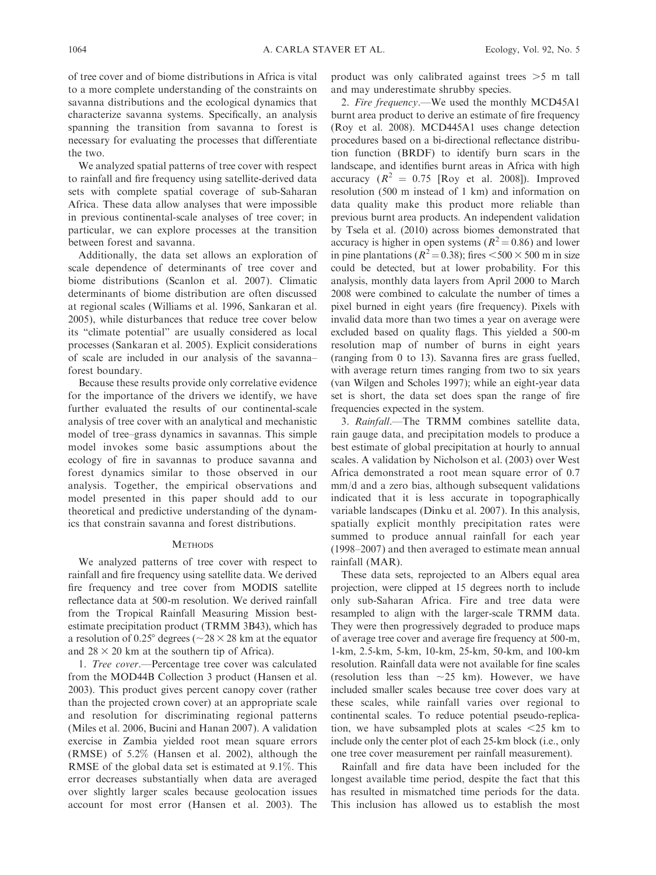of tree cover and of biome distributions in Africa is vital to a more complete understanding of the constraints on savanna distributions and the ecological dynamics that characterize savanna systems. Specifically, an analysis spanning the transition from savanna to forest is necessary for evaluating the processes that differentiate the two.

We analyzed spatial patterns of tree cover with respect to rainfall and fire frequency using satellite-derived data sets with complete spatial coverage of sub-Saharan Africa. These data allow analyses that were impossible in previous continental-scale analyses of tree cover; in particular, we can explore processes at the transition between forest and savanna.

Additionally, the data set allows an exploration of scale dependence of determinants of tree cover and biome distributions (Scanlon et al. 2007). Climatic determinants of biome distribution are often discussed at regional scales (Williams et al. 1996, Sankaran et al. 2005), while disturbances that reduce tree cover below its ''climate potential'' are usually considered as local processes (Sankaran et al. 2005). Explicit considerations of scale are included in our analysis of the savanna– forest boundary.

Because these results provide only correlative evidence for the importance of the drivers we identify, we have further evaluated the results of our continental-scale analysis of tree cover with an analytical and mechanistic model of tree–grass dynamics in savannas. This simple model invokes some basic assumptions about the ecology of fire in savannas to produce savanna and forest dynamics similar to those observed in our analysis. Together, the empirical observations and model presented in this paper should add to our theoretical and predictive understanding of the dynamics that constrain savanna and forest distributions.

#### **METHODS**

We analyzed patterns of tree cover with respect to rainfall and fire frequency using satellite data. We derived fire frequency and tree cover from MODIS satellite reflectance data at 500-m resolution. We derived rainfall from the Tropical Rainfall Measuring Mission bestestimate precipitation product (TRMM 3B43), which has a resolution of 0.25° degrees ( $\sim$ 28 × 28 km at the equator and  $28 \times 20$  km at the southern tip of Africa).

1. Tree cover.—Percentage tree cover was calculated from the MOD44B Collection 3 product (Hansen et al. 2003). This product gives percent canopy cover (rather than the projected crown cover) at an appropriate scale and resolution for discriminating regional patterns (Miles et al. 2006, Bucini and Hanan 2007). A validation exercise in Zambia yielded root mean square errors (RMSE) of 5.2% (Hansen et al. 2002), although the RMSE of the global data set is estimated at 9.1%. This error decreases substantially when data are averaged over slightly larger scales because geolocation issues account for most error (Hansen et al. 2003). The product was only calibrated against trees  $>5$  m tall and may underestimate shrubby species.

2. Fire frequency.—We used the monthly MCD45A1 burnt area product to derive an estimate of fire frequency (Roy et al. 2008). MCD445A1 uses change detection procedures based on a bi-directional reflectance distribution function (BRDF) to identify burn scars in the landscape, and identifies burnt areas in Africa with high accuracy  $(R^2 = 0.75$  [Roy et al. 2008]). Improved resolution (500 m instead of 1 km) and information on data quality make this product more reliable than previous burnt area products. An independent validation by Tsela et al. (2010) across biomes demonstrated that accuracy is higher in open systems ( $R^2 = 0.86$ ) and lower in pine plantations ( $R^2$  = 0.38); fires <500 × 500 m in size could be detected, but at lower probability. For this analysis, monthly data layers from April 2000 to March 2008 were combined to calculate the number of times a pixel burned in eight years (fire frequency). Pixels with invalid data more than two times a year on average were excluded based on quality flags. This yielded a 500-m resolution map of number of burns in eight years (ranging from 0 to 13). Savanna fires are grass fuelled, with average return times ranging from two to six years (van Wilgen and Scholes 1997); while an eight-year data set is short, the data set does span the range of fire frequencies expected in the system.

3. Rainfall.—The TRMM combines satellite data, rain gauge data, and precipitation models to produce a best estimate of global precipitation at hourly to annual scales. A validation by Nicholson et al. (2003) over West Africa demonstrated a root mean square error of 0.7 mm/d and a zero bias, although subsequent validations indicated that it is less accurate in topographically variable landscapes (Dinku et al. 2007). In this analysis, spatially explicit monthly precipitation rates were summed to produce annual rainfall for each year (1998–2007) and then averaged to estimate mean annual rainfall (MAR).

These data sets, reprojected to an Albers equal area projection, were clipped at 15 degrees north to include only sub-Saharan Africa. Fire and tree data were resampled to align with the larger-scale TRMM data. They were then progressively degraded to produce maps of average tree cover and average fire frequency at 500-m, 1-km, 2.5-km, 5-km, 10-km, 25-km, 50-km, and 100-km resolution. Rainfall data were not available for fine scales (resolution less than  $\sim$  25 km). However, we have included smaller scales because tree cover does vary at these scales, while rainfall varies over regional to continental scales. To reduce potential pseudo-replication, we have subsampled plots at scales  $\leq$  25 km to include only the center plot of each 25-km block (i.e., only one tree cover measurement per rainfall measurement).

Rainfall and fire data have been included for the longest available time period, despite the fact that this has resulted in mismatched time periods for the data. This inclusion has allowed us to establish the most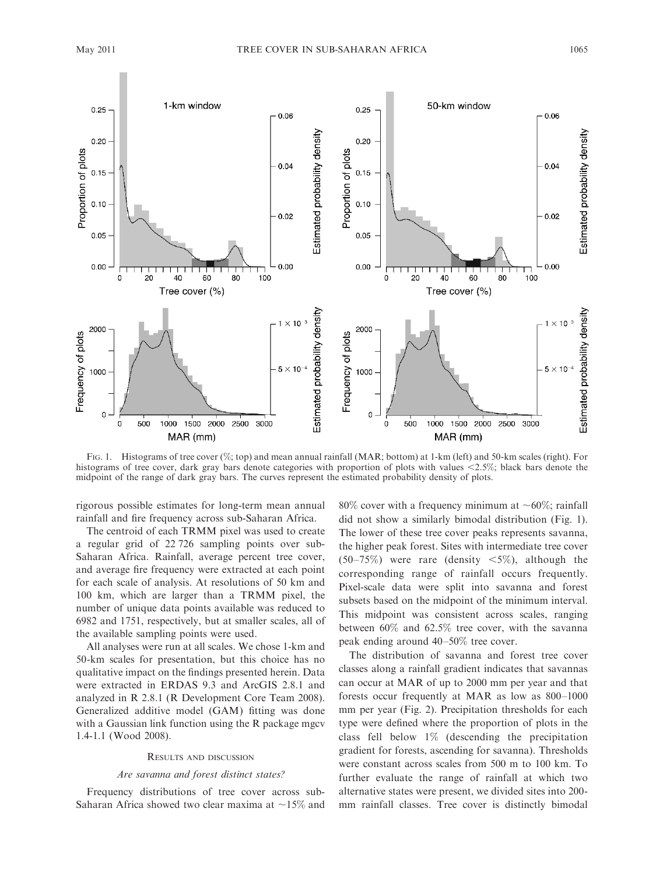

FIG. 1. Histograms of tree cover (%; top) and mean annual rainfall (MAR; bottom) at 1-km (left) and 50-km scales (right). For histograms of tree cover, dark gray bars denote categories with proportion of plots with values  $\leq$ 2.5%; black bars denote the midpoint of the range of dark gray bars. The curves represent the estimated probability density of plots.

rigorous possible estimates for long-term mean annual rainfall and fire frequency across sub-Saharan Africa.

The centroid of each TRMM pixel was used to create a regular grid of 22 726 sampling points over sub-Saharan Africa. Rainfall, average percent tree cover, and average fire frequency were extracted at each point for each scale of analysis. At resolutions of 50 km and 100 km, which are larger than a TRMM pixel, the number of unique data points available was reduced to 6982 and 1751, respectively, but at smaller scales, all of the available sampling points were used.

All analyses were run at all scales. We chose 1-km and 50-km scales for presentation, but this choice has no qualitative impact on the findings presented herein. Data were extracted in ERDAS 9.3 and ArcGIS 2.8.1 and analyzed in R 2.8.1 (R Development Core Team 2008). Generalized additive model (GAM) fitting was done with a Gaussian link function using the R package mgcv 1.4-1.1 (Wood 2008).

#### RESULTS AND DISCUSSION

## Are savanna and forest distinct states?

Frequency distributions of tree cover across sub-Saharan Africa showed two clear maxima at  $\sim$ 15% and 80% cover with a frequency minimum at  $\sim 60\%$ ; rainfall did not show a similarly bimodal distribution (Fig. 1). The lower of these tree cover peaks represents savanna, the higher peak forest. Sites with intermediate tree cover  $(50-75%)$  were rare (density  $\leq 5\%$ ), although the corresponding range of rainfall occurs frequently. Pixel-scale data were split into savanna and forest subsets based on the midpoint of the minimum interval. This midpoint was consistent across scales, ranging between 60% and 62.5% tree cover, with the savanna peak ending around 40–50% tree cover.

The distribution of savanna and forest tree cover classes along a rainfall gradient indicates that savannas can occur at MAR of up to 2000 mm per year and that forests occur frequently at MAR as low as 800–1000 mm per year (Fig. 2). Precipitation thresholds for each type were defined where the proportion of plots in the class fell below 1% (descending the precipitation gradient for forests, ascending for savanna). Thresholds were constant across scales from 500 m to 100 km. To further evaluate the range of rainfall at which two alternative states were present, we divided sites into 200 mm rainfall classes. Tree cover is distinctly bimodal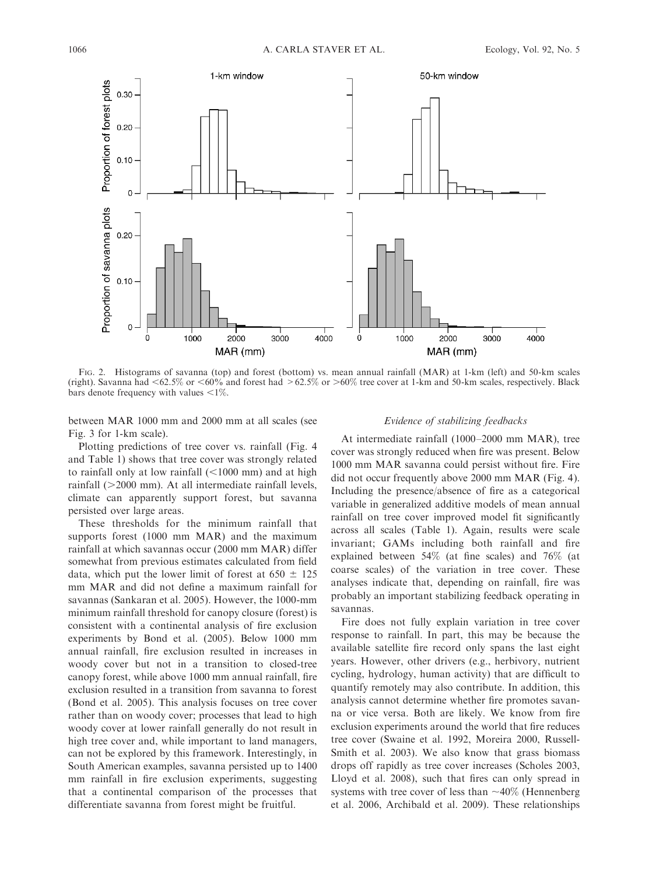

FIG. 2. Histograms of savanna (top) and forest (bottom) vs. mean annual rainfall (MAR) at 1-km (left) and 50-km scales (right). Savanna had <62.5% or <60% and forest had >62.5% or >60% tree cover at 1-km and 50-km scales, respectively. Black bars denote frequency with values  $\leq 1\%$ .

between MAR 1000 mm and 2000 mm at all scales (see Fig. 3 for 1-km scale).

Plotting predictions of tree cover vs. rainfall (Fig. 4 and Table 1) shows that tree cover was strongly related to rainfall only at low rainfall  $(<1000$  mm) and at high rainfall  $(>2000$  mm). At all intermediate rainfall levels, climate can apparently support forest, but savanna persisted over large areas.

These thresholds for the minimum rainfall that supports forest (1000 mm MAR) and the maximum rainfall at which savannas occur (2000 mm MAR) differ somewhat from previous estimates calculated from field data, which put the lower limit of forest at  $650 \pm 125$ mm MAR and did not define a maximum rainfall for savannas (Sankaran et al. 2005). However, the 1000-mm minimum rainfall threshold for canopy closure (forest) is consistent with a continental analysis of fire exclusion experiments by Bond et al. (2005). Below 1000 mm annual rainfall, fire exclusion resulted in increases in woody cover but not in a transition to closed-tree canopy forest, while above 1000 mm annual rainfall, fire exclusion resulted in a transition from savanna to forest (Bond et al. 2005). This analysis focuses on tree cover rather than on woody cover; processes that lead to high woody cover at lower rainfall generally do not result in high tree cover and, while important to land managers, can not be explored by this framework. Interestingly, in South American examples, savanna persisted up to 1400 mm rainfall in fire exclusion experiments, suggesting that a continental comparison of the processes that differentiate savanna from forest might be fruitful.

## Evidence of stabilizing feedbacks

At intermediate rainfall (1000–2000 mm MAR), tree cover was strongly reduced when fire was present. Below 1000 mm MAR savanna could persist without fire. Fire did not occur frequently above 2000 mm MAR (Fig. 4). Including the presence/absence of fire as a categorical variable in generalized additive models of mean annual rainfall on tree cover improved model fit significantly across all scales (Table 1). Again, results were scale invariant; GAMs including both rainfall and fire explained between 54% (at fine scales) and 76% (at coarse scales) of the variation in tree cover. These analyses indicate that, depending on rainfall, fire was probably an important stabilizing feedback operating in savannas.

Fire does not fully explain variation in tree cover response to rainfall. In part, this may be because the available satellite fire record only spans the last eight years. However, other drivers (e.g., herbivory, nutrient cycling, hydrology, human activity) that are difficult to quantify remotely may also contribute. In addition, this analysis cannot determine whether fire promotes savanna or vice versa. Both are likely. We know from fire exclusion experiments around the world that fire reduces tree cover (Swaine et al. 1992, Moreira 2000, Russell-Smith et al. 2003). We also know that grass biomass drops off rapidly as tree cover increases (Scholes 2003, Lloyd et al. 2008), such that fires can only spread in systems with tree cover of less than  $\sim$ 40% (Hennenberg et al. 2006, Archibald et al. 2009). These relationships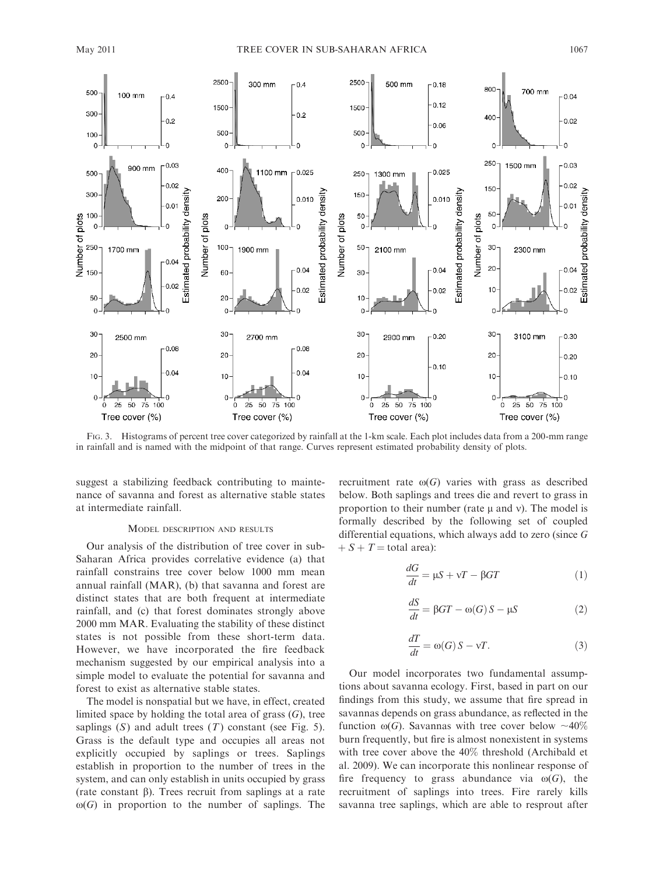

FIG. 3. Histograms of percent tree cover categorized by rainfall at the 1-km scale. Each plot includes data from a 200-mm range in rainfall and is named with the midpoint of that range. Curves represent estimated probability density of plots.

suggest a stabilizing feedback contributing to maintenance of savanna and forest as alternative stable states at intermediate rainfall.

## MODEL DESCRIPTION AND RESULTS

Our analysis of the distribution of tree cover in sub-Saharan Africa provides correlative evidence (a) that rainfall constrains tree cover below 1000 mm mean annual rainfall (MAR), (b) that savanna and forest are distinct states that are both frequent at intermediate rainfall, and (c) that forest dominates strongly above 2000 mm MAR. Evaluating the stability of these distinct states is not possible from these short-term data. However, we have incorporated the fire feedback mechanism suggested by our empirical analysis into a simple model to evaluate the potential for savanna and forest to exist as alternative stable states.

The model is nonspatial but we have, in effect, created limited space by holding the total area of grass  $(G)$ , tree saplings  $(S)$  and adult trees  $(T)$  constant (see Fig. 5). Grass is the default type and occupies all areas not explicitly occupied by saplings or trees. Saplings establish in proportion to the number of trees in the system, and can only establish in units occupied by grass (rate constant  $\beta$ ). Trees recruit from saplings at a rate  $\omega(G)$  in proportion to the number of saplings. The recruitment rate  $\omega(G)$  varies with grass as described below. Both saplings and trees die and revert to grass in proportion to their number (rate  $\mu$  and v). The model is formally described by the following set of coupled differential equations, which always add to zero (since G  $+ S + T =$  total area):

$$
\frac{dG}{dt} = \mu S + \nu T - \beta GT \tag{1}
$$

$$
\frac{dS}{dt} = \beta GT - \omega(G) S - \mu S \tag{2}
$$

$$
\frac{dT}{dt} = \omega(G) S - \nu T.
$$
\n(3)

Our model incorporates two fundamental assumptions about savanna ecology. First, based in part on our findings from this study, we assume that fire spread in savannas depends on grass abundance, as reflected in the function  $\omega(G)$ . Savannas with tree cover below  $\sim 40\%$ burn frequently, but fire is almost nonexistent in systems with tree cover above the 40% threshold (Archibald et al. 2009). We can incorporate this nonlinear response of fire frequency to grass abundance via  $\omega(G)$ , the recruitment of saplings into trees. Fire rarely kills savanna tree saplings, which are able to resprout after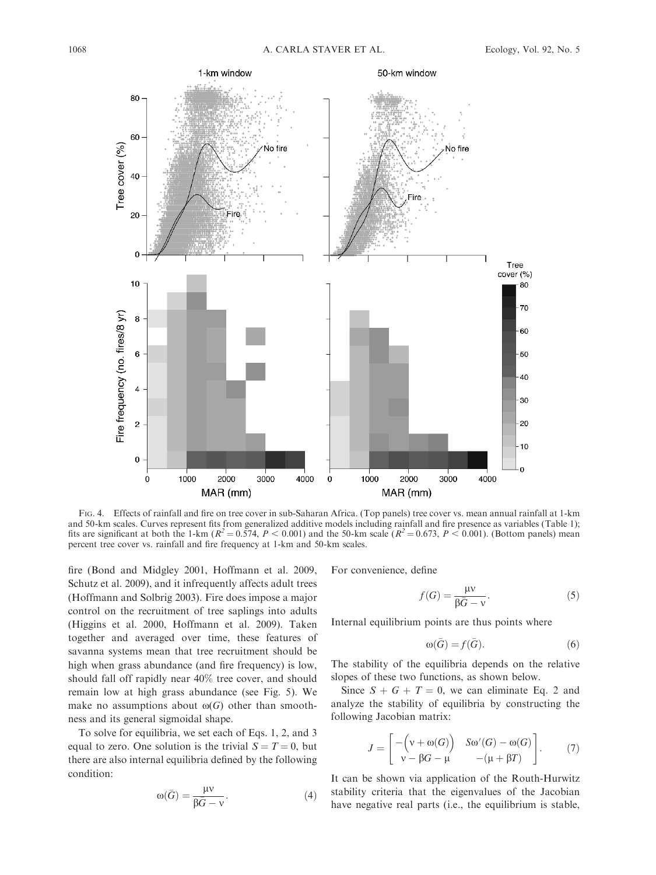

FIG. 4. Effects of rainfall and fire on tree cover in sub-Saharan Africa. (Top panels) tree cover vs. mean annual rainfall at 1-km and 50-km scales. Curves represent fits from generalized additive models including rainfall and fire presence as variables (Table 1); fits are significant at both the 1-km ( $R^2 = 0.574$ ,  $P < 0.001$ ) and the 50-km scale ( $R^2 = 0.673$ ,  $P < 0.001$ ). (Bottom panels) mean percent tree cover vs. rainfall and fire frequency at 1-km and 50-km scales.

fire (Bond and Midgley 2001, Hoffmann et al. 2009, Schutz et al. 2009), and it infrequently affects adult trees (Hoffmann and Solbrig 2003). Fire does impose a major control on the recruitment of tree saplings into adults (Higgins et al. 2000, Hoffmann et al. 2009). Taken together and averaged over time, these features of savanna systems mean that tree recruitment should be high when grass abundance (and fire frequency) is low, should fall off rapidly near 40% tree cover, and should remain low at high grass abundance (see Fig. 5). We make no assumptions about  $\omega(G)$  other than smoothness and its general sigmoidal shape.

To solve for equilibria, we set each of Eqs. 1, 2, and 3 equal to zero. One solution is the trivial  $S = T = 0$ , but there are also internal equilibria defined by the following condition:

$$
\omega(\bar{G}) = \frac{\mu v}{\beta \bar{G} - v}.
$$
\n(4)

For convenience, define

$$
f(G) = \frac{\mu v}{\beta \bar{G} - v}.
$$
 (5)

Internal equilibrium points are thus points where

$$
\omega(\bar{G}) = f(\bar{G}).\tag{6}
$$

The stability of the equilibria depends on the relative slopes of these two functions, as shown below.

Since  $S + G + T = 0$ , we can eliminate Eq. 2 and analyze the stability of equilibria by constructing the following Jacobian matrix:

$$
J = \begin{bmatrix} -\left(v + \omega(G)\right) & S\omega'(G) - \omega(G) \\ v - \beta G - \mu & -(\mu + \beta T) \end{bmatrix}.
$$
 (7)

It can be shown via application of the Routh-Hurwitz stability criteria that the eigenvalues of the Jacobian have negative real parts (i.e., the equilibrium is stable,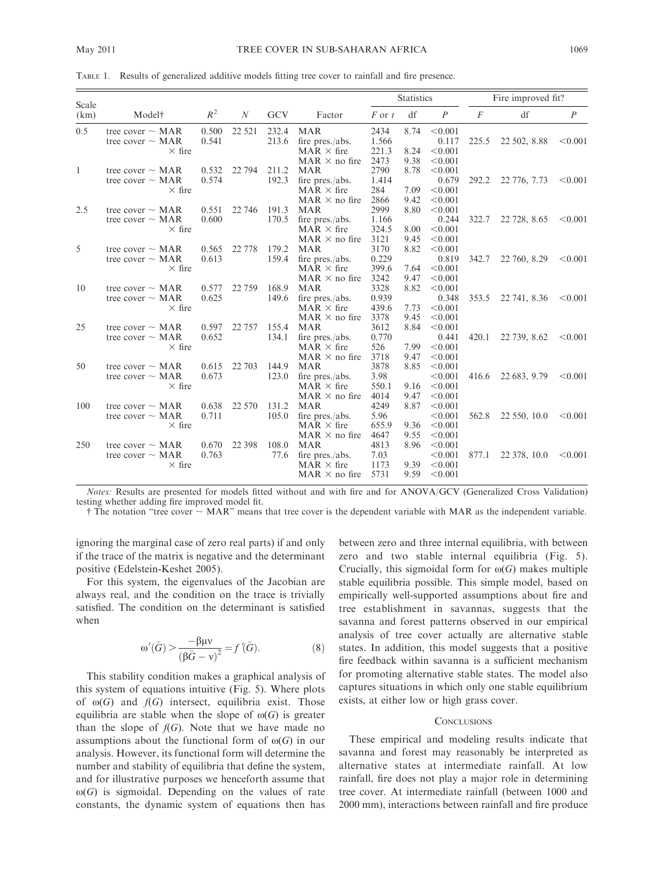TABLE 1. Results of generalized additive models fitting tree cover to rainfall and fire presence.

| Scale        |                       |       |                  |            |                      | <b>Statistics</b> |      |                | Fire improved fit? |              |                  |
|--------------|-----------------------|-------|------------------|------------|----------------------|-------------------|------|----------------|--------------------|--------------|------------------|
| (km)         | Modelt                | $R^2$ | $\boldsymbol{N}$ | <b>GCV</b> | Factor               | $F$ or $t$        | df   | $\overline{P}$ | $\overline{F}$     | df           | $\boldsymbol{P}$ |
| 0.5          | tree cover $\sim$ MAR | 0.500 | 22 5 21          | 232.4      | <b>MAR</b>           | 2434              | 8.74 | < 0.001        |                    |              |                  |
|              | tree cover $\sim$ MAR | 0.541 |                  | 213.6      | fire pres./abs.      | 1.566             |      | 0.117          | 225.5              | 22 502, 8.88 | < 0.001          |
|              | $\times$ fire         |       |                  |            | $MAR \times fire$    | 221.3             | 8.24 | < 0.001        |                    |              |                  |
|              |                       |       |                  |            | $MAR \times$ no fire | 2473              | 9.38 | < 0.001        |                    |              |                  |
| $\mathbf{1}$ | tree cover $\sim$ MAR | 0.532 | 22 7 94          | 211.2      | <b>MAR</b>           | 2790              | 8.78 | < 0.001        |                    |              |                  |
|              | tree cover $\sim$ MAR | 0.574 |                  | 192.3      | fire pres./abs.      | 1.414             |      | 0.679          | 292.2              | 22 776, 7.73 | < 0.001          |
|              | $\times$ fire         |       |                  |            | $MAR \times fire$    | 284               | 7.09 | < 0.001        |                    |              |                  |
|              |                       |       |                  |            | $MAR \times$ no fire | 2866              | 9.42 | < 0.001        |                    |              |                  |
| 2.5          | tree cover $\sim$ MAR | 0.551 | 22 746           | 191.3      | MAR                  | 2999              | 8.80 | < 0.001        |                    |              |                  |
|              | tree cover $\sim$ MAR | 0.600 |                  | 170.5      | fire pres./abs.      | 1.166             |      | 0.244          | 322.7              | 22 728, 8.65 | < 0.001          |
|              | $\times$ fire         |       |                  |            | $MAR \times fire$    | 324.5             | 8.00 | < 0.001        |                    |              |                  |
|              |                       |       |                  |            | $MAR \times$ no fire | 3121              | 9.45 | < 0.001        |                    |              |                  |
| 5            | tree cover $\sim$ MAR | 0.565 | 22 778           | 179.2      | <b>MAR</b>           | 3170              | 8.82 | < 0.001        |                    |              |                  |
|              | tree cover $\sim$ MAR | 0.613 |                  | 159.4      | fire pres./abs.      | 0.229             |      | 0.819          | 342.7              | 22 760, 8.29 | < 0.001          |
|              | $\times$ fire         |       |                  |            | $MAR \times fire$    | 399.6             | 7.64 | < 0.001        |                    |              |                  |
|              |                       |       |                  |            | $MAR \times$ no fire | 3242              | 9.47 | < 0.001        |                    |              |                  |
| 10           | tree cover $\sim$ MAR | 0.577 | 22 7 59          | 168.9      | <b>MAR</b>           | 3328              | 8.82 | < 0.001        |                    |              |                  |
|              | tree cover $\sim$ MAR | 0.625 |                  | 149.6      | fire pres./abs.      | 0.939             |      | 0.348          | 353.5              | 22 741, 8.36 | < 0.001          |
|              | $\times$ fire         |       |                  |            | $MAR \times$ fire    | 439.6             | 7.73 | < 0.001        |                    |              |                  |
|              |                       |       |                  |            | $MAR \times$ no fire | 3378              | 9.45 | < 0.001        |                    |              |                  |
| 25           | tree cover $\sim$ MAR | 0.597 | 22 7 5 7         | 155.4      | MAR                  | 3612              | 8.84 | < 0.001        |                    |              |                  |
|              | tree cover $\sim$ MAR | 0.652 |                  | 134.1      | fire pres./abs.      | 0.770             |      | 0.441          | 420.1              | 22 739, 8.62 | < 0.001          |
|              | $\times$ fire         |       |                  |            | $MAR \times$ fire    | 526               | 7.99 | < 0.001        |                    |              |                  |
|              |                       |       |                  |            | $MAR \times$ no fire | 3718              | 9.47 | < 0.001        |                    |              |                  |
| 50           | tree cover $\sim$ MAR | 0.615 | 22 703           | 144.9      | <b>MAR</b>           | 3878              | 8.85 | < 0.001        |                    |              |                  |
|              | tree cover $\sim$ MAR | 0.673 |                  | 123.0      | fire pres./abs.      | 3.98              |      | < 0.001        | 416.6              | 22 683, 9.79 | < 0.001          |
|              | $\times$ fire         |       |                  |            | $MAR \times fire$    | 550.1             | 9.16 | < 0.001        |                    |              |                  |
|              |                       |       |                  |            | $MAR \times$ no fire | 4014              | 9.47 | < 0.001        |                    |              |                  |
| 100          | tree cover $\sim$ MAR | 0.638 | 22 570           | 131.2      | <b>MAR</b>           | 4249              | 8.87 | < 0.001        |                    |              |                  |
|              | tree cover $\sim$ MAR | 0.711 |                  | 105.0      | fire pres./abs.      | 5.96              |      | < 0.001        | 562.8              | 22 550, 10.0 | < 0.001          |
|              | $\times$ fire         |       |                  |            | $MAR \times fire$    | 655.9             | 9.36 | < 0.001        |                    |              |                  |
|              |                       |       |                  |            | $MAR \times$ no fire | 4647              | 9.55 | < 0.001        |                    |              |                  |
| 250          | tree cover $\sim$ MAR | 0.670 | 22 3 98          | 108.0      | <b>MAR</b>           | 4813              | 8.96 | < 0.001        |                    |              |                  |
|              | tree cover $\sim$ MAR | 0.763 |                  | 77.6       | fire pres./abs.      | 7.03              |      | < 0.001        | 877.1              | 22 378, 10.0 | < 0.001          |
|              | $\times$ fire         |       |                  |            | $MAR \times fire$    | 1173              | 9.39 | < 0.001        |                    |              |                  |
|              |                       |       |                  |            | $MAR \times$ no fire | 5731              | 9.59 | < 0.001        |                    |              |                  |

Notes: Results are presented for models fitted without and with fire and for ANOVA/GCV (Generalized Cross Validation) testing whether adding fire improved model fit.

 $\dagger$  The notation "tree cover  $\sim$  MAR" means that tree cover is the dependent variable with MAR as the independent variable.

ignoring the marginal case of zero real parts) if and only if the trace of the matrix is negative and the determinant positive (Edelstein-Keshet 2005).

For this system, the eigenvalues of the Jacobian are always real, and the condition on the trace is trivially satisfied. The condition on the determinant is satisfied when

$$
\omega'(\bar{G}) > \frac{-\beta \mu \nu}{\left(\beta \bar{G} - \nu\right)^2} = f'(\bar{G}).\tag{8}
$$

This stability condition makes a graphical analysis of this system of equations intuitive (Fig. 5). Where plots of  $\omega(G)$  and  $f(G)$  intersect, equilibria exist. Those equilibria are stable when the slope of  $\omega(G)$  is greater than the slope of  $f(G)$ . Note that we have made no assumptions about the functional form of  $\omega(G)$  in our analysis. However, its functional form will determine the number and stability of equilibria that define the system, and for illustrative purposes we henceforth assume that  $\omega(G)$  is sigmoidal. Depending on the values of rate constants, the dynamic system of equations then has

between zero and three internal equilibria, with between zero and two stable internal equilibria (Fig. 5). Crucially, this sigmoidal form for  $\omega(G)$  makes multiple stable equilibria possible. This simple model, based on empirically well-supported assumptions about fire and tree establishment in savannas, suggests that the savanna and forest patterns observed in our empirical analysis of tree cover actually are alternative stable states. In addition, this model suggests that a positive fire feedback within savanna is a sufficient mechanism for promoting alternative stable states. The model also captures situations in which only one stable equilibrium exists, at either low or high grass cover.

## **CONCLUSIONS**

These empirical and modeling results indicate that savanna and forest may reasonably be interpreted as alternative states at intermediate rainfall. At low rainfall, fire does not play a major role in determining tree cover. At intermediate rainfall (between 1000 and 2000 mm), interactions between rainfall and fire produce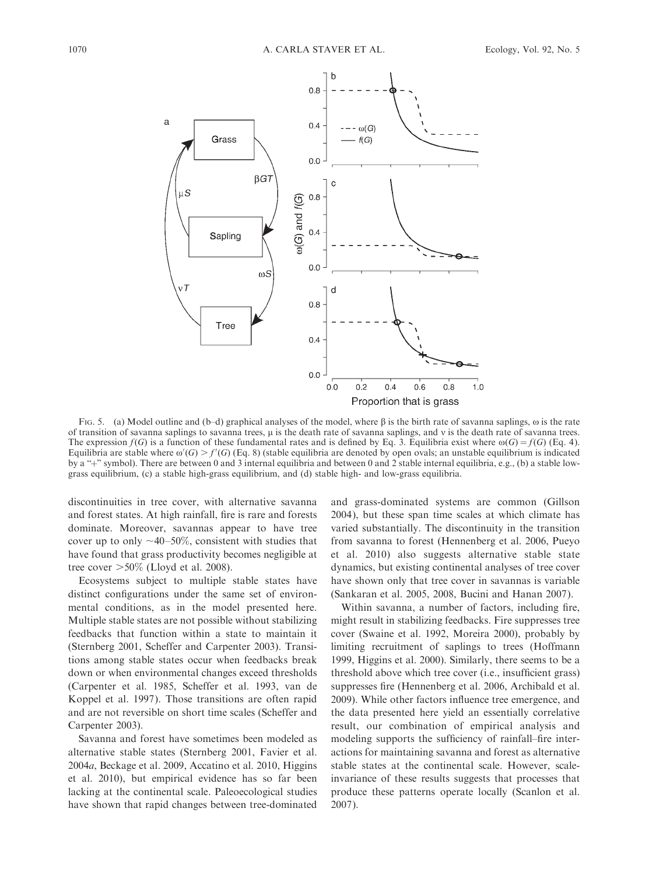

FIG. 5. (a) Model outline and (b–d) graphical analyses of the model, where  $\beta$  is the birth rate of savanna saplings,  $\omega$  is the rate of transition of savanna saplings to savanna trees, u is the death rate of savanna saplings, and v is the death rate of savanna trees. The expression  $f(G)$  is a function of these fundamental rates and is defined by Eq. 3. Equilibria exist where  $\omega(G) = f(G)$  (Eq. 4). Equilibria are stable where  $\omega'(G) > f'(G)$  (Eq. 8) (stable equilibria are denoted by open ovals; an unstable equilibrium is indicated by a "+" symbol). There are between 0 and 3 internal equilibria and between 0 and 2 stable internal equilibria, e.g., (b) a stable lowgrass equilibrium, (c) a stable high-grass equilibrium, and (d) stable high- and low-grass equilibria.

discontinuities in tree cover, with alternative savanna and forest states. At high rainfall, fire is rare and forests dominate. Moreover, savannas appear to have tree cover up to only  $\sim$ 40–50%, consistent with studies that have found that grass productivity becomes negligible at tree cover  $>50\%$  (Lloyd et al. 2008).

Ecosystems subject to multiple stable states have distinct configurations under the same set of environmental conditions, as in the model presented here. Multiple stable states are not possible without stabilizing feedbacks that function within a state to maintain it (Sternberg 2001, Scheffer and Carpenter 2003). Transitions among stable states occur when feedbacks break down or when environmental changes exceed thresholds (Carpenter et al. 1985, Scheffer et al. 1993, van de Koppel et al. 1997). Those transitions are often rapid and are not reversible on short time scales (Scheffer and Carpenter 2003).

Savanna and forest have sometimes been modeled as alternative stable states (Sternberg 2001, Favier et al. 2004a, Beckage et al. 2009, Accatino et al. 2010, Higgins et al. 2010), but empirical evidence has so far been lacking at the continental scale. Paleoecological studies have shown that rapid changes between tree-dominated and grass-dominated systems are common (Gillson 2004), but these span time scales at which climate has varied substantially. The discontinuity in the transition from savanna to forest (Hennenberg et al. 2006, Pueyo et al. 2010) also suggests alternative stable state dynamics, but existing continental analyses of tree cover have shown only that tree cover in savannas is variable (Sankaran et al. 2005, 2008, Bucini and Hanan 2007).

Within savanna, a number of factors, including fire, might result in stabilizing feedbacks. Fire suppresses tree cover (Swaine et al. 1992, Moreira 2000), probably by limiting recruitment of saplings to trees (Hoffmann 1999, Higgins et al. 2000). Similarly, there seems to be a threshold above which tree cover (i.e., insufficient grass) suppresses fire (Hennenberg et al. 2006, Archibald et al. 2009). While other factors influence tree emergence, and the data presented here yield an essentially correlative result, our combination of empirical analysis and modeling supports the sufficiency of rainfall–fire interactions for maintaining savanna and forest as alternative stable states at the continental scale. However, scaleinvariance of these results suggests that processes that produce these patterns operate locally (Scanlon et al. 2007).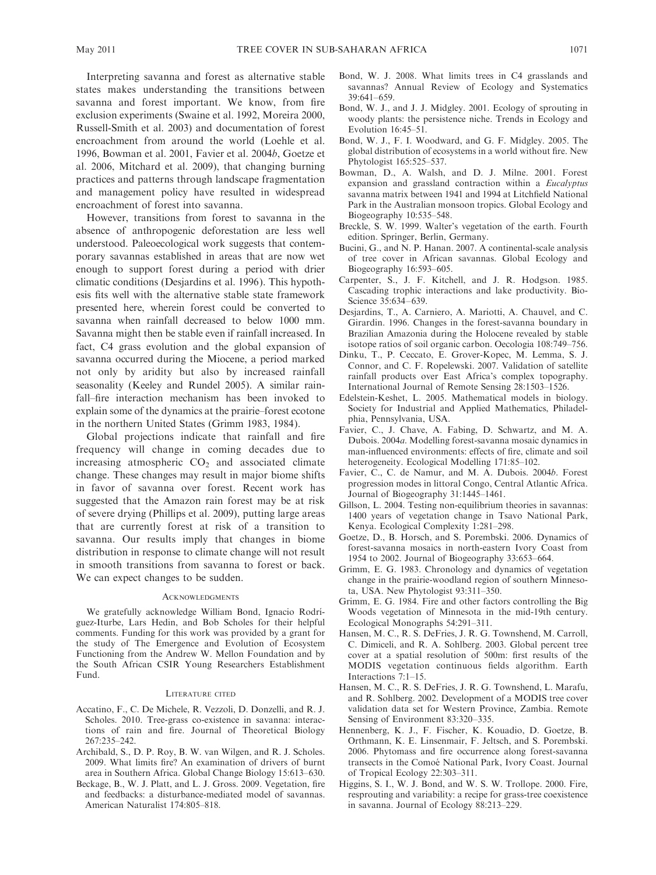Interpreting savanna and forest as alternative stable states makes understanding the transitions between savanna and forest important. We know, from fire exclusion experiments (Swaine et al. 1992, Moreira 2000, Russell-Smith et al. 2003) and documentation of forest encroachment from around the world (Loehle et al. 1996, Bowman et al. 2001, Favier et al. 2004b, Goetze et al. 2006, Mitchard et al. 2009), that changing burning practices and patterns through landscape fragmentation and management policy have resulted in widespread encroachment of forest into savanna.

However, transitions from forest to savanna in the absence of anthropogenic deforestation are less well understood. Paleoecological work suggests that contemporary savannas established in areas that are now wet enough to support forest during a period with drier climatic conditions (Desjardins et al. 1996). This hypothesis fits well with the alternative stable state framework presented here, wherein forest could be converted to savanna when rainfall decreased to below 1000 mm. Savanna might then be stable even if rainfall increased. In fact, C4 grass evolution and the global expansion of savanna occurred during the Miocene, a period marked not only by aridity but also by increased rainfall seasonality (Keeley and Rundel 2005). A similar rainfall–fire interaction mechanism has been invoked to explain some of the dynamics at the prairie–forest ecotone in the northern United States (Grimm 1983, 1984).

Global projections indicate that rainfall and fire frequency will change in coming decades due to increasing atmospheric  $CO<sub>2</sub>$  and associated climate change. These changes may result in major biome shifts in favor of savanna over forest. Recent work has suggested that the Amazon rain forest may be at risk of severe drying (Phillips et al. 2009), putting large areas that are currently forest at risk of a transition to savanna. Our results imply that changes in biome distribution in response to climate change will not result in smooth transitions from savanna to forest or back. We can expect changes to be sudden.

#### **ACKNOWLEDGMENTS**

We gratefully acknowledge William Bond, Ignacio Rodríguez-Iturbe, Lars Hedin, and Bob Scholes for their helpful comments. Funding for this work was provided by a grant for the study of The Emergence and Evolution of Ecosystem Functioning from the Andrew W. Mellon Foundation and by the South African CSIR Young Researchers Establishment Fund.

#### LITERATURE CITED

- Accatino, F., C. De Michele, R. Vezzoli, D. Donzelli, and R. J. Scholes. 2010. Tree-grass co-existence in savanna: interactions of rain and fire. Journal of Theoretical Biology 267:235–242.
- Archibald, S., D. P. Roy, B. W. van Wilgen, and R. J. Scholes. 2009. What limits fire? An examination of drivers of burnt area in Southern Africa. Global Change Biology 15:613–630.
- Beckage, B., W. J. Platt, and L. J. Gross. 2009. Vegetation, fire and feedbacks: a disturbance-mediated model of savannas. American Naturalist 174:805–818.
- Bond, W. J. 2008. What limits trees in C4 grasslands and savannas? Annual Review of Ecology and Systematics 39:641–659.
- Bond, W. J., and J. J. Midgley. 2001. Ecology of sprouting in woody plants: the persistence niche. Trends in Ecology and Evolution 16:45–51.
- Bond, W. J., F. I. Woodward, and G. F. Midgley. 2005. The global distribution of ecosystems in a world without fire. New Phytologist 165:525–537.
- Bowman, D., A. Walsh, and D. J. Milne. 2001. Forest expansion and grassland contraction within a Eucalyptus savanna matrix between 1941 and 1994 at Litchfield National Park in the Australian monsoon tropics. Global Ecology and Biogeography 10:535–548.
- Breckle, S. W. 1999. Walter's vegetation of the earth. Fourth edition. Springer, Berlin, Germany.
- Bucini, G., and N. P. Hanan. 2007. A continental-scale analysis of tree cover in African savannas. Global Ecology and Biogeography 16:593–605.
- Carpenter, S., J. F. Kitchell, and J. R. Hodgson. 1985. Cascading trophic interactions and lake productivity. Bio-Science 35:634–639.
- Desjardins, T., A. Carniero, A. Mariotti, A. Chauvel, and C. Girardin. 1996. Changes in the forest-savanna boundary in Brazilian Amazonia during the Holocene revealed by stable isotope ratios of soil organic carbon. Oecologia 108:749–756.
- Dinku, T., P. Ceccato, E. Grover-Kopec, M. Lemma, S. J. Connor, and C. F. Ropelewski. 2007. Validation of satellite rainfall products over East Africa's complex topography. International Journal of Remote Sensing 28:1503–1526.
- Edelstein-Keshet, L. 2005. Mathematical models in biology. Society for Industrial and Applied Mathematics, Philadelphia, Pennsylvania, USA.
- Favier, C., J. Chave, A. Fabing, D. Schwartz, and M. A. Dubois. 2004a. Modelling forest-savanna mosaic dynamics in man-influenced environments: effects of fire, climate and soil heterogeneity. Ecological Modelling 171:85–102.
- Favier, C., C. de Namur, and M. A. Dubois. 2004b. Forest progression modes in littoral Congo, Central Atlantic Africa. Journal of Biogeography 31:1445–1461.
- Gillson, L. 2004. Testing non-equilibrium theories in savannas: 1400 years of vegetation change in Tsavo National Park, Kenya. Ecological Complexity 1:281–298.
- Goetze, D., B. Horsch, and S. Porembski. 2006. Dynamics of forest-savanna mosaics in north-eastern Ivory Coast from 1954 to 2002. Journal of Biogeography 33:653–664.
- Grimm, E. G. 1983. Chronology and dynamics of vegetation change in the prairie-woodland region of southern Minnesota, USA. New Phytologist 93:311–350.
- Grimm, E. G. 1984. Fire and other factors controlling the Big Woods vegetation of Minnesota in the mid-19th century. Ecological Monographs 54:291–311.
- Hansen, M. C., R. S. DeFries, J. R. G. Townshend, M. Carroll, C. Dimiceli, and R. A. Sohlberg. 2003. Global percent tree cover at a spatial resolution of 500m: first results of the MODIS vegetation continuous fields algorithm. Earth Interactions 7:1–15.
- Hansen, M. C., R. S. DeFries, J. R. G. Townshend, L. Marafu, and R. Sohlberg. 2002. Development of a MODIS tree cover validation data set for Western Province, Zambia. Remote Sensing of Environment 83:320–335.
- Hennenberg, K. J., F. Fischer, K. Kouadio, D. Goetze, B. Orthmann, K. E. Linsenmair, F. Jeltsch, and S. Porembski. 2006. Phytomass and fire occurrence along forest-savanna transects in the Comoé National Park, Ivory Coast. Journal of Tropical Ecology 22:303–311.
- Higgins, S. I., W. J. Bond, and W. S. W. Trollope. 2000. Fire, resprouting and variability: a recipe for grass-tree coexistence in savanna. Journal of Ecology 88:213–229.